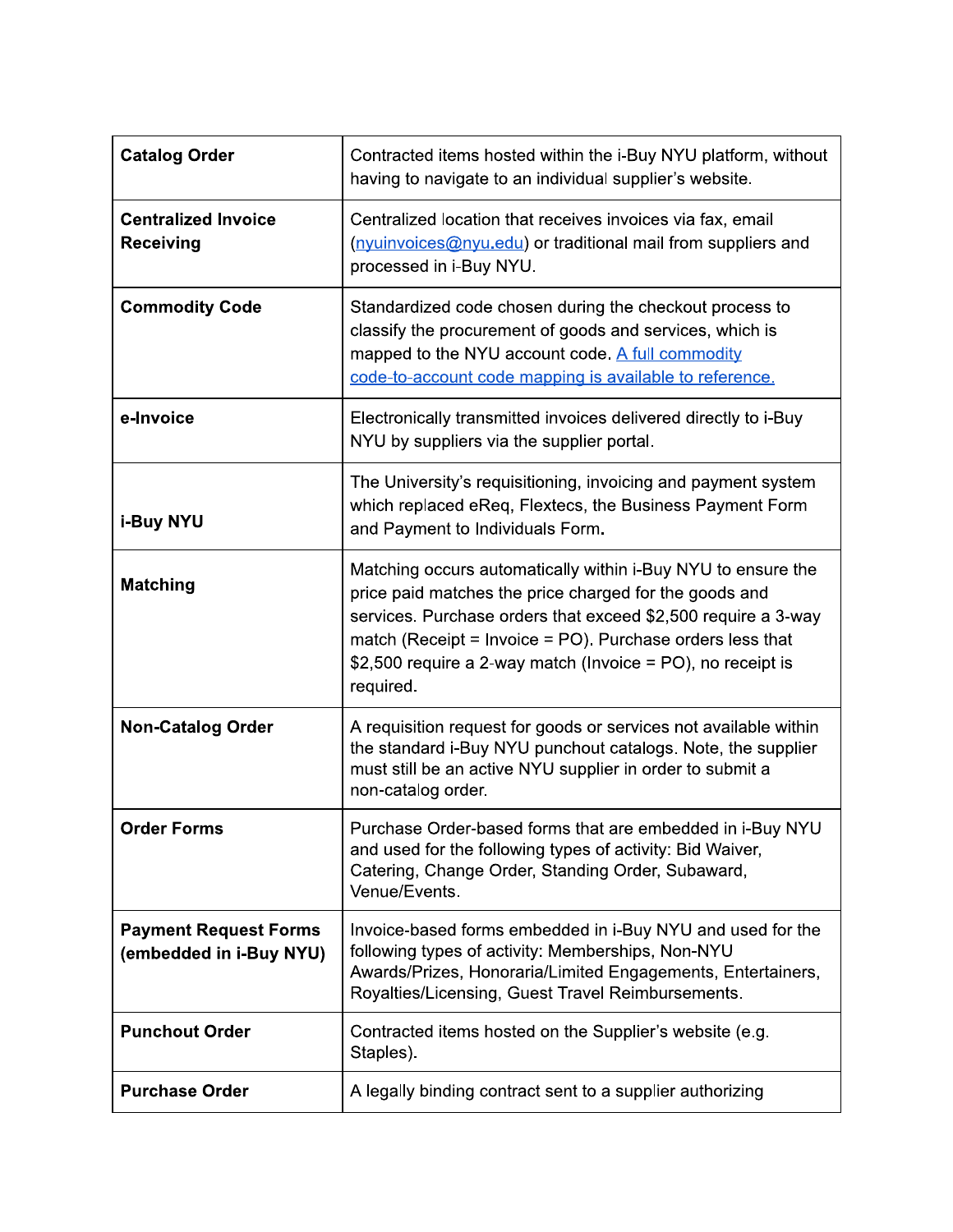| <b>Catalog Order</b>                                    | Contracted items hosted within the i-Buy NYU platform, without<br>having to navigate to an individual supplier's website.                                                                                                                                                                                                        |
|---------------------------------------------------------|----------------------------------------------------------------------------------------------------------------------------------------------------------------------------------------------------------------------------------------------------------------------------------------------------------------------------------|
| <b>Centralized Invoice</b><br><b>Receiving</b>          | Centralized location that receives invoices via fax, email<br>(nyuinvoices@nyu.edu) or traditional mail from suppliers and<br>processed in i-Buy NYU.                                                                                                                                                                            |
| <b>Commodity Code</b>                                   | Standardized code chosen during the checkout process to<br>classify the procurement of goods and services, which is<br>mapped to the NYU account code. A full commodity<br>code-to-account code mapping is available to reference.                                                                                               |
| e-Invoice                                               | Electronically transmitted invoices delivered directly to i-Buy<br>NYU by suppliers via the supplier portal.                                                                                                                                                                                                                     |
| i-Buy NYU                                               | The University's requisitioning, invoicing and payment system<br>which replaced eReq, Flextecs, the Business Payment Form<br>and Payment to Individuals Form.                                                                                                                                                                    |
| <b>Matching</b>                                         | Matching occurs automatically within i-Buy NYU to ensure the<br>price paid matches the price charged for the goods and<br>services. Purchase orders that exceed \$2,500 require a 3-way<br>match (Receipt = Invoice = PO). Purchase orders less that<br>\$2,500 require a 2-way match (Invoice = PO), no receipt is<br>required. |
| <b>Non-Catalog Order</b>                                | A requisition request for goods or services not available within<br>the standard i-Buy NYU punchout catalogs. Note, the supplier<br>must still be an active NYU supplier in order to submit a<br>non-catalog order.                                                                                                              |
| <b>Order Forms</b>                                      | Purchase Order-based forms that are embedded in i-Buy NYU<br>and used for the following types of activity: Bid Waiver,<br>Catering, Change Order, Standing Order, Subaward,<br>Venue/Events.                                                                                                                                     |
| <b>Payment Request Forms</b><br>(embedded in i-Buy NYU) | Invoice-based forms embedded in i-Buy NYU and used for the<br>following types of activity: Memberships, Non-NYU<br>Awards/Prizes, Honoraria/Limited Engagements, Entertainers,<br>Royalties/Licensing, Guest Travel Reimbursements.                                                                                              |
| <b>Punchout Order</b>                                   | Contracted items hosted on the Supplier's website (e.g.<br>Staples).                                                                                                                                                                                                                                                             |
| <b>Purchase Order</b>                                   | A legally binding contract sent to a supplier authorizing                                                                                                                                                                                                                                                                        |